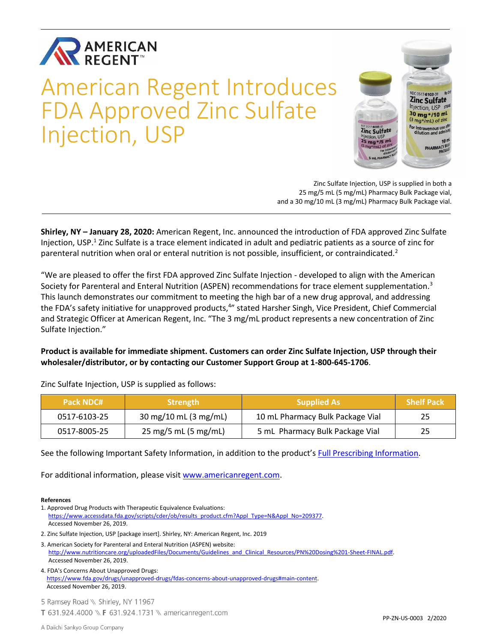

# American Regent Introduces FDA Approved Zinc Sulfate Injection, USP



Zinc Sulfate Injection, USP is supplied in both a 25 mg/5 mL (5 mg/mL) Pharmacy Bulk Package vial, and a 30 mg/10 mL (3 mg/mL) Pharmacy Bulk Package vial.

**Shirley, NY – January 28, 2020:** American Regent, Inc. announced the introduction of FDA approved Zinc Sulfate Injection, USP.<sup>1</sup> Zinc Sulfate is a trace element indicated in adult and pediatric patients as a source of zinc for parenteral nutrition when oral or enteral nutrition is not possible, insufficient, or contraindicated.<sup>2</sup>

"We are pleased to offer the first FDA approved Zinc Sulfate Injection - developed to align with the American Society for Parenteral and Enteral Nutrition (ASPEN) recommendations for trace element supplementation.<sup>3</sup> This launch demonstrates our commitment to meeting the high bar of a new drug approval, and addressing the FDA's safety initiative for unapproved products,<sup>4</sup>" stated Harsher Singh, Vice President, Chief Commercial and Strategic Officer at American Regent, Inc. "The 3 mg/mL product represents a new concentration of Zinc Sulfate Injection."

**Product is available for immediate shipment. Customers can order Zinc Sulfate Injection, USP through their wholesaler/distributor, or by contacting our Customer Support Group at 1-800-645-1706**.

| <b>Pack NDC#</b> | <b>Strength</b>       | <b>Supplied As</b>               | Shelf Pack |
|------------------|-----------------------|----------------------------------|------------|
| 0517-6103-25     | 30 mg/10 mL (3 mg/mL) | 10 mL Pharmacy Bulk Package Vial | 25         |
| 0517-8005-25     | 25 mg/5 mL (5 mg/mL)  | 5 mL Pharmacy Bulk Package Vial  | 25         |

Zinc Sulfate Injection, USP is supplied as follows:

See the following Important Safety Information, in addition to the product's [Full Prescribing Information.](https://americanregent.com/media/2740/zincsulfate_pi_rev-oct2019_06nov2019.pdf)

For additional information, please visit [www.americanregent.com.](https://www.americanregent.com/)

#### **References**

- 1. Approved Drug Products with Therapeutic Equivalence Evaluations: [https://www.accessdata.fda.gov/scripts/cder/ob/results\\_product.cfm?Appl\\_Type=N&Appl\\_No=209377.](https://www.accessdata.fda.gov/scripts/cder/ob/results_product.cfm?Appl_Type=N&Appl_No=209377) Accessed November 26, 2019.
- 2. Zinc Sulfate Injection, USP [package insert]. Shirley, NY: American Regent, Inc. 2019
- 3. American Society for Parenteral and Enteral Nutrition (ASPEN) website: [http://www.nutritioncare.org/uploadedFiles/Documents/Guidelines\\_and\\_Clinical\\_Resources/PN%20Dosing%201-Sheet-FINAL.pdf.](http://www.nutritioncare.org/uploadedFiles/Documents/Guidelines_and_Clinical_Resources/PN%20Dosing%201-Sheet-FINAL.pdf) Accessed November 26, 2019.

4. FDA's Concerns About Unapproved Drugs: [https://www.fda.gov/drugs/unapproved-drugs/fdas-concerns-about-unapproved-drugs#main-content.](https://www.fda.gov/drugs/unapproved-drugs/fdas-concerns-about-unapproved-drugs#main-content) Accessed November 26, 2019.

5 Ramsey Road \\ Shirley, NY 11967 T 631.924.4000 \\ F 631.924.1731 \\ americanregent.com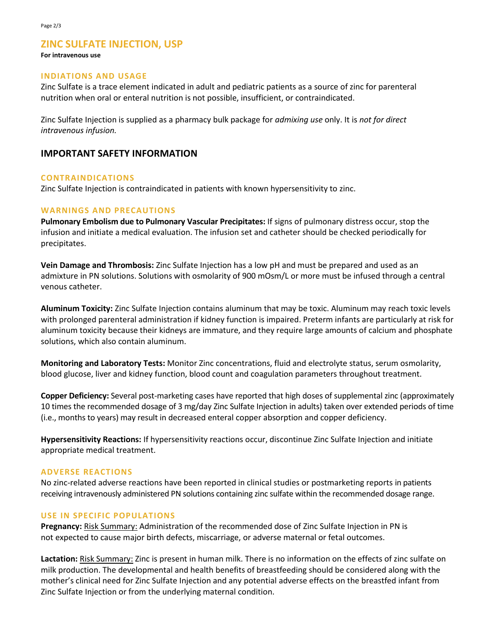# **ZINC SULFATE INJECTION, USP**

#### **For intravenous use**

# **INDIATIONS AND USAGE**

Zinc Sulfate is a trace element indicated in adult and pediatric patients as a source of zinc for parenteral nutrition when oral or enteral nutrition is not possible, insufficient, or contraindicated.

Zinc Sulfate Injection is supplied as a pharmacy bulk package for *admixing use* only. It is *not for direct intravenous infusion.*

# **IMPORTANT SAFETY INFORMATION**

#### **CONTRAINDICATIONS**

Zinc Sulfate Injection is contraindicated in patients with known hypersensitivity to zinc.

#### **WARNINGS AND PRECAUTIONS**

**Pulmonary Embolism due to Pulmonary Vascular Precipitates:** If signs of pulmonary distress occur, stop the infusion and initiate a medical evaluation. The infusion set and catheter should be checked periodically for precipitates.

**Vein Damage and Thrombosis:** Zinc Sulfate Injection has a low pH and must be prepared and used as an admixture in PN solutions. Solutions with osmolarity of 900 mOsm/L or more must be infused through a central venous catheter.

**Aluminum Toxicity:** Zinc Sulfate Injection contains aluminum that may be toxic. Aluminum may reach toxic levels with prolonged parenteral administration if kidney function is impaired. Preterm infants are particularly at risk for aluminum toxicity because their kidneys are immature, and they require large amounts of calcium and phosphate solutions, which also contain aluminum.

**Monitoring and Laboratory Tests:** Monitor Zinc concentrations, fluid and electrolyte status, serum osmolarity, blood glucose, liver and kidney function, blood count and coagulation parameters throughout treatment.

**Copper Deficiency:** Several post-marketing cases have reported that high doses of supplemental zinc (approximately 10 times the recommended dosage of 3 mg/day Zinc Sulfate Injection in adults) taken over extended periods of time (i.e., months to years) may result in decreased enteral copper absorption and copper deficiency.

**Hypersensitivity Reactions:** If hypersensitivity reactions occur, discontinue Zinc Sulfate Injection and initiate appropriate medical treatment.

#### **ADVERSE REACTIONS**

No zinc-related adverse reactions have been reported in clinical studies or postmarketing reports in patients receiving intravenously administered PN solutions containing zinc sulfate within the recommended dosage range.

#### **USE IN SPECIFIC POPULATIONS**

**Pregnancy:** Risk Summary: Administration of the recommended dose of Zinc Sulfate Injection in PN is not expected to cause major birth defects, miscarriage, or adverse maternal or fetal outcomes.

**Lactation:** Risk Summary: Zinc is present in human milk. There is no information on the effects of zinc sulfate on milk production. The developmental and health benefits of breastfeeding should be considered along with the mother's clinical need for Zinc Sulfate Injection and any potential adverse effects on the breastfed infant from Zinc Sulfate Injection or from the underlying maternal condition.